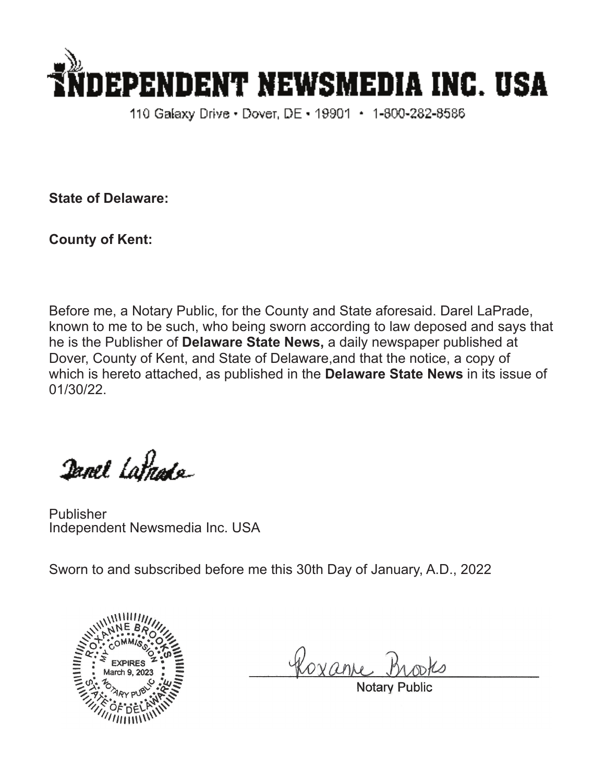

110 Galaxy Drive • Dover, DE • 19901 • 1-800-282-8586

**State of Delaware:**

**County of Kent:**

Before me, a Notary Public, for the County and State aforesaid. Darel LaPrade, known to me to be such, who being sworn according to law deposed and says that he is the Publisher of **Delaware State News,** a daily newspaper published at Dover, County of Kent, and State of Delaware,and that the notice, a copy of which is hereto attached, as published in the **Delaware State News** in its issue of 01/30/22.

Danel Latnade

Publisher Independent Newsmedia Inc. USA

Sworn to and subscribed before me this 30th Day of January, A.D., 2022



Roxan

Notary Pub